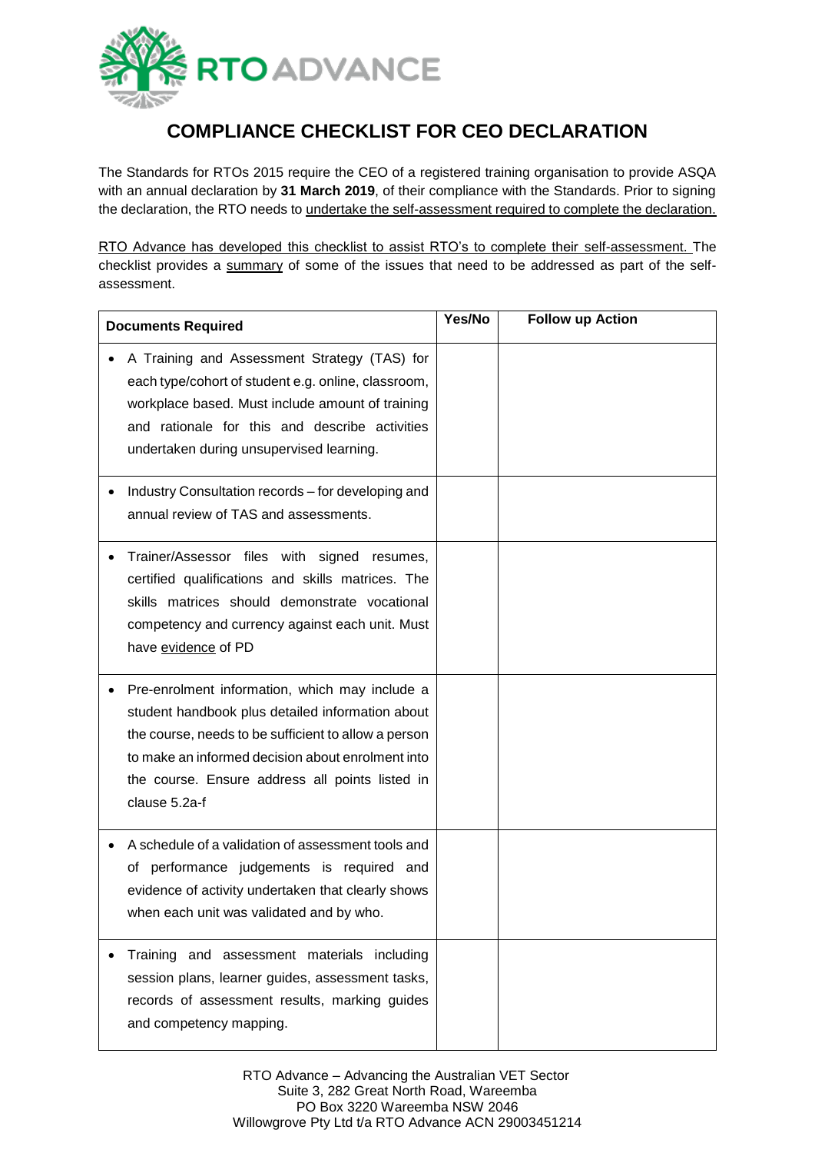

## **COMPLIANCE CHECKLIST FOR CEO DECLARATION**

The Standards for RTOs 2015 require the CEO of a registered training organisation to provide ASQA with an annual declaration by **31 March 2019**, of their compliance with the Standards. Prior to signing the declaration, the RTO needs to undertake the self-assessment required to complete the declaration.

RTO Advance has developed this checklist to assist RTO's to complete their self-assessment. The checklist provides a summary of some of the issues that need to be addressed as part of the selfassessment.

| <b>Documents Required</b>                                                                                                                                                                                                                                                           | Yes/No | <b>Follow up Action</b> |
|-------------------------------------------------------------------------------------------------------------------------------------------------------------------------------------------------------------------------------------------------------------------------------------|--------|-------------------------|
| A Training and Assessment Strategy (TAS) for<br>each type/cohort of student e.g. online, classroom,<br>workplace based. Must include amount of training<br>and rationale for this and describe activities<br>undertaken during unsupervised learning.                               |        |                         |
| Industry Consultation records - for developing and<br>annual review of TAS and assessments.                                                                                                                                                                                         |        |                         |
| Trainer/Assessor files with signed resumes,<br>certified qualifications and skills matrices. The<br>skills matrices should demonstrate vocational<br>competency and currency against each unit. Must<br>have evidence of PD                                                         |        |                         |
| Pre-enrolment information, which may include a<br>student handbook plus detailed information about<br>the course, needs to be sufficient to allow a person<br>to make an informed decision about enrolment into<br>the course. Ensure address all points listed in<br>clause 5.2a-f |        |                         |
| A schedule of a validation of assessment tools and<br>of performance judgements is required and<br>evidence of activity undertaken that clearly shows<br>when each unit was validated and by who.                                                                                   |        |                         |
| Training and assessment materials including<br>session plans, learner guides, assessment tasks,<br>records of assessment results, marking guides<br>and competency mapping.                                                                                                         |        |                         |